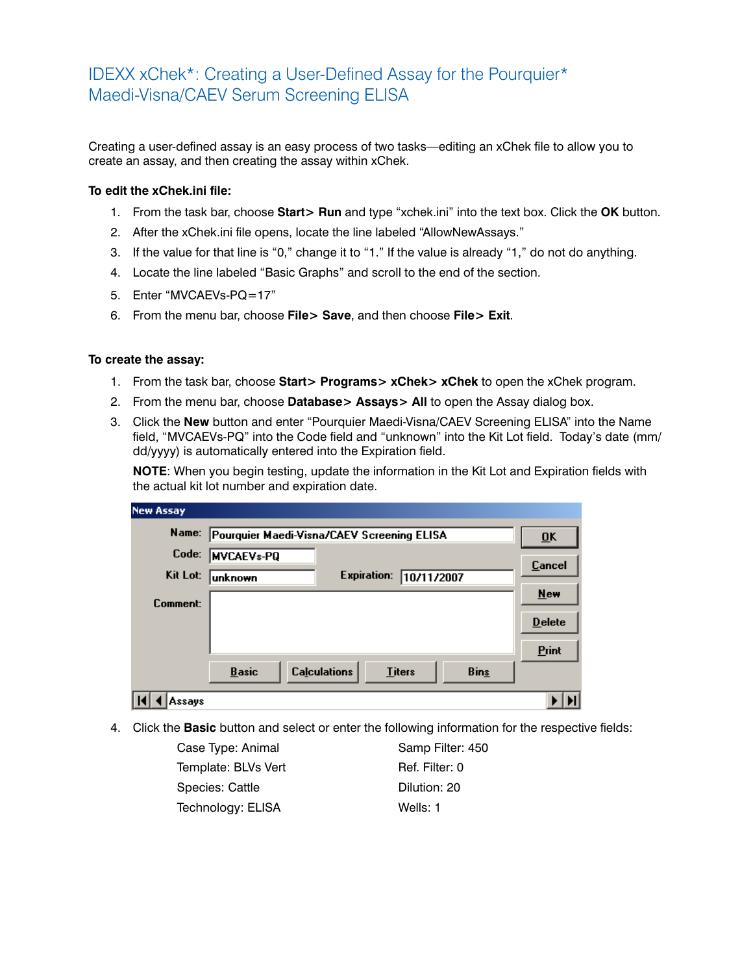## IDEXX xChek\*: Creating a User-Defined Assay for the Pourquier\* Maedi-Visna/CAEV Serum Screening ELISA

Creating a user-defined assay is an easy process of two tasks—editing an xChek file to allow you to create an assay, and then creating the assay within xChek.

## **To edit the xChek.ini file:**

- 1. From the task bar, choose **Start> Run** and type "xchek.ini" into the text box. Click the **OK** button.
- 2. After the xChek.ini file opens, locate the line labeled "AllowNewAssays."
- 3. If the value for that line is "0," change it to "1." If the value is already "1," do not do anything.
- 4. Locate the line labeled "Basic Graphs" and scroll to the end of the section.
- 5. Enter "MVCAEVs-PQ=17"
- 6. From the menu bar, choose **File> Save**, and then choose **File> Exit**.

## **To create the assay:**

- 1. From the task bar, choose **Start> Programs> xChek> xChek** to open the xChek program.
- 2. From the menu bar, choose **Database> Assays> All** to open the Assay dialog box.
- 3. Click the **New** button and enter "Pourquier Maedi-Visna/CAEV Screening ELISA" into the Name field, "MVCAEVs-PQ" into the Code field and "unknown" into the Kit Lot field. Today's date (mm/ dd/yyyy) is automatically entered into the Expiration field.

**NOTE:** When you begin testing, update the information in the Kit Lot and Expiration fields with the actual kit lot number and expiration date.

| <b>New Assay</b> |                                                                     |                           |
|------------------|---------------------------------------------------------------------|---------------------------|
| Name:            | Pourquier Maedi-Visna/CAEV Screening ELISA                          | $\overline{\mathbf{0}}$ K |
| Code:            | <b>MVCAEVs-PQ</b>                                                   | Cancel                    |
| Kit Lot:         | <b>Expiration:</b><br>10/11/2007<br>unknown                         |                           |
| Comment:         |                                                                     | New                       |
|                  |                                                                     | <b>Delete</b>             |
|                  |                                                                     | Print                     |
|                  | <b>Calculations</b><br><b>Basic</b><br><b>Titers</b><br><b>Bins</b> |                           |
| Assavs           |                                                                     |                           |

4. Click the **Basic** button and select or enter the following information for the respective fields:

Case Type: Animal Samp Filter: 450 Template: BLVs Vert Ref. Filter: 0 Species: Cattle **Dilution: 20** Technology: ELISA Wells: 1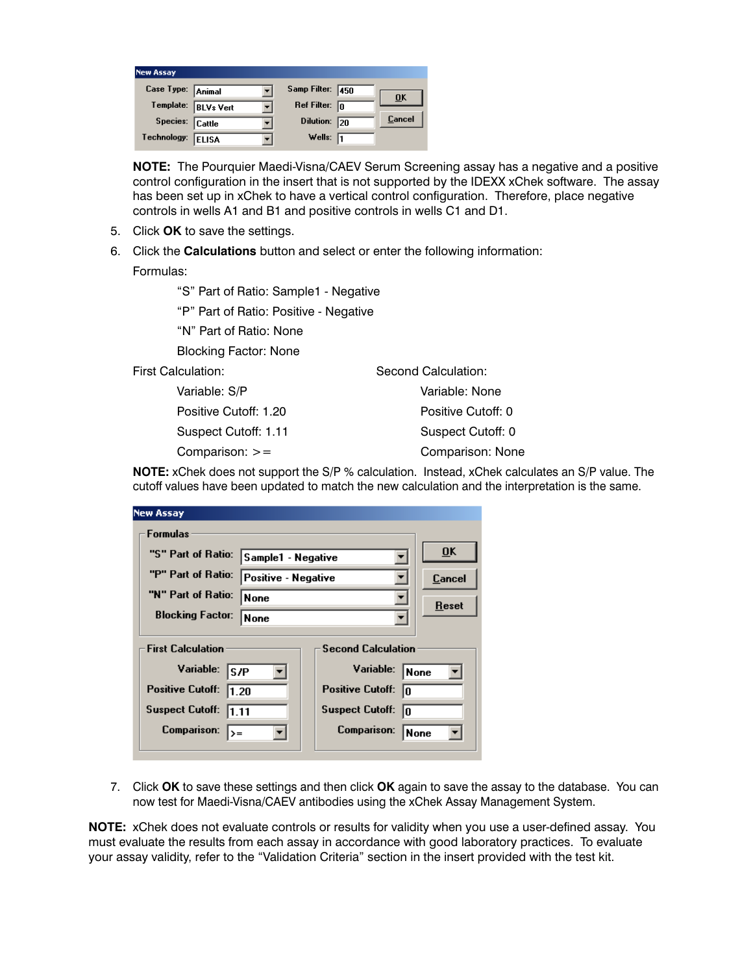| <b>New Assay</b>    |              |                         |    |                           |
|---------------------|--------------|-------------------------|----|---------------------------|
| Case Type: Animal   |              | Samp Filter: 450        |    | $\overline{\mathbf{0}}$ K |
| Template: BLVs Vert |              | Ref Filter: $\boxed{0}$ |    |                           |
| Species: Cattle     |              | Dilution:               | 20 | <b>Cancel</b>             |
| Technology:         | <b>ELISA</b> | Wells:                  |    |                           |

**NOTE:** The Pourquier Maedi-Visna/CAEV Serum Screening assay has a negative and a positive control configuration in the insert that is not supported by the IDEXX xChek software. The assay has been set up in xChek to have a vertical control configuration. Therefore, place negative controls in wells A1 and B1 and positive controls in wells C1 and D1.

- 5. Click **OK** to save the settings.
- 6. Click the **Calculations** button and select or enter the following information:

Formulas:

"S" Part of Ratio: Sample1 - Negative

"P" Part of Ratio: Positive - Negative

"N" Part of Ratio: None

Blocking Factor: None

First Calculation:

 Variable: S/P Positive Cutoff: 1.20 Suspect Cutoff: 1.11 Comparison: >=

Second Calculation: Variable: None Positive Cutoff: 0 Suspect Cutoff: 0 Comparison: None

**NOTE:** xChek does not support the S/P % calculation. Instead, xChek calculates an S/P value. The cutoff values have been updated to match the new calculation and the interpretation is the same.

| <b>New Assay</b>                |                     |                               |                           |  |  |  |  |
|---------------------------------|---------------------|-------------------------------|---------------------------|--|--|--|--|
| Formulas                        |                     |                               |                           |  |  |  |  |
| "S" Part of Ratio:              | Sample1 - Negative  |                               | $\overline{\mathbf{0}}$ K |  |  |  |  |
| "P" Part of Ratio:              | Positive - Negative |                               | Cancel                    |  |  |  |  |
| "N" Part of Ratio:              | <b>None</b>         |                               | Reset                     |  |  |  |  |
| <b>Blocking Factor:</b>         | None                |                               |                           |  |  |  |  |
| <b>First Calculation</b>        |                     | <b>Second Calculation</b>     |                           |  |  |  |  |
| Variable:                       | S/P                 | Variable:<br>None             |                           |  |  |  |  |
| <b>Positive Cutoff:</b>         | 1.20                | <b>Positive Cutoff:</b><br>lo |                           |  |  |  |  |
| <b>Suspect Cutoff:</b><br>11.11 |                     | <b>Suspect Cutoff:</b><br>In  |                           |  |  |  |  |
| Comparison:<br>l>=              |                     | Comparison:                   | None                      |  |  |  |  |
|                                 |                     |                               |                           |  |  |  |  |

7. Click **OK** to save these settings and then click **OK** again to save the assay to the database. You can now test for Maedi-Visna/CAEV antibodies using the xChek Assay Management System.

**NOTE:** xChek does not evaluate controls or results for validity when you use a user-defined assay. You must evaluate the results from each assay in accordance with good laboratory practices. To evaluate your assay validity, refer to the "Validation Criteria" section in the insert provided with the test kit.